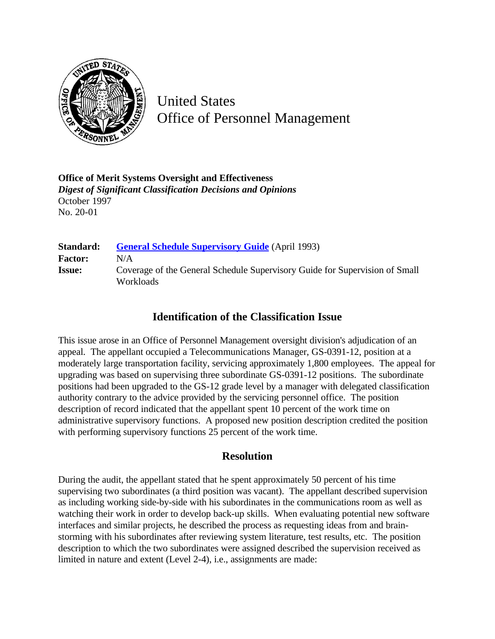

United States Office of Personnel Management

**Office of Merit Systems Oversight and Effectiveness** *Digest of Significant Classification Decisions and Opinions* October 1997 No. 20-01

| Standard:      | <b>General Schedule Supervisory Guide</b> (April 1993)                                   |
|----------------|------------------------------------------------------------------------------------------|
| <b>Factor:</b> | N/A                                                                                      |
| <b>Issue:</b>  | Coverage of the General Schedule Supervisory Guide for Supervision of Small<br>Workloads |

## **Identification of the Classification Issue**

This issue arose in an Office of Personnel Management oversight division's adjudication of an appeal. The appellant occupied a Telecommunications Manager, GS-0391-12, position at a moderately large transportation facility, servicing approximately 1,800 employees. The appeal for upgrading was based on supervising three subordinate GS-0391-12 positions. The subordinate positions had been upgraded to the GS-12 grade level by a manager with delegated classification authority contrary to the advice provided by the servicing personnel office. The position description of record indicated that the appellant spent 10 percent of the work time on administrative supervisory functions. A proposed new position description credited the position with performing supervisory functions 25 percent of the work time.

## **Resolution**

During the audit, the appellant stated that he spent approximately 50 percent of his time supervising two subordinates (a third position was vacant). The appellant described supervision as including working side-by-side with his subordinates in the communications room as well as watching their work in order to develop back-up skills. When evaluating potential new software interfaces and similar projects, he described the process as requesting ideas from and brainstorming with his subordinates after reviewing system literature, test results, etc. The position description to which the two subordinates were assigned described the supervision received as limited in nature and extent (Level 2-4), i.e., assignments are made: